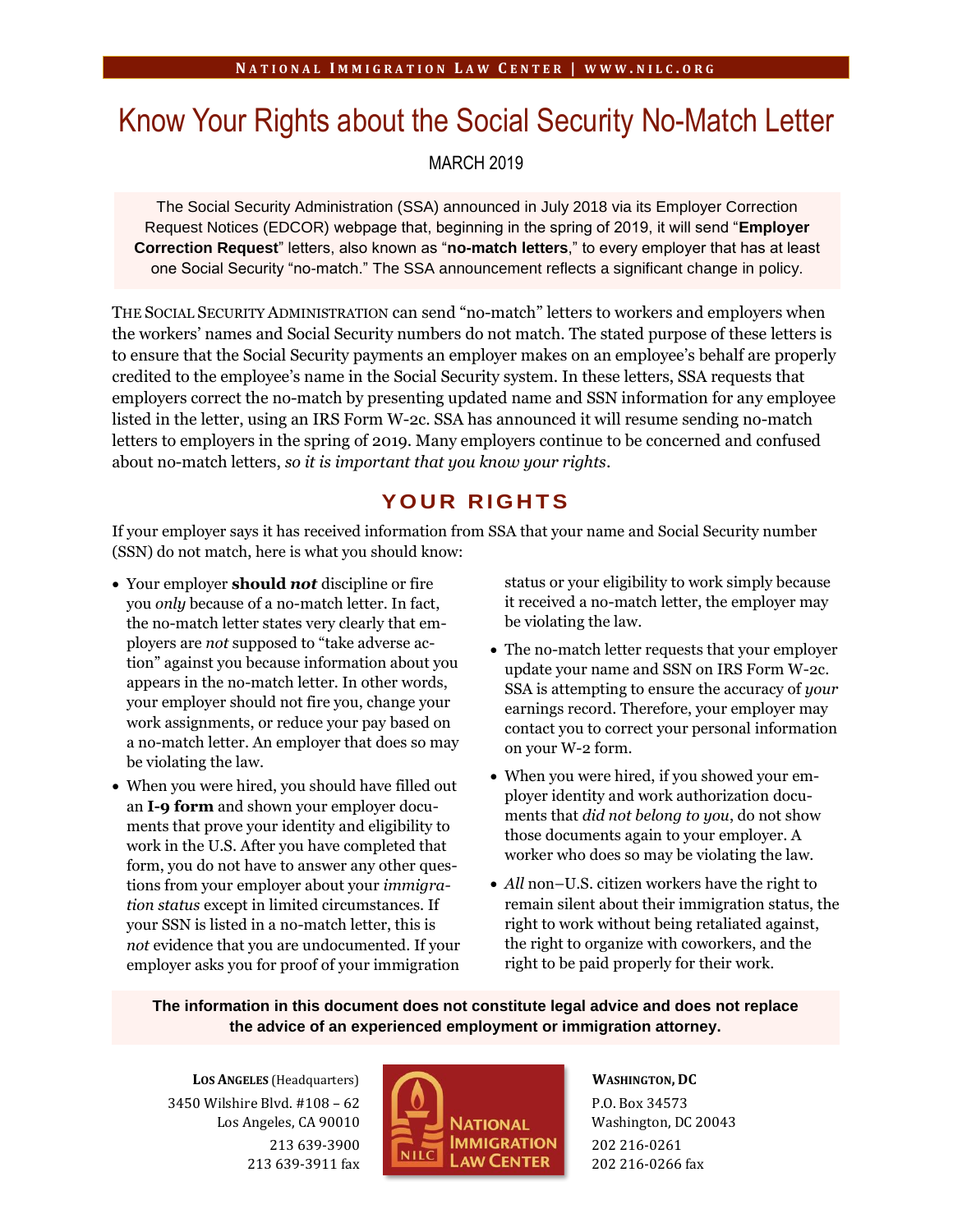# Know Your Rights about the Social Security No-Match Letter

MARCH 2019

The Social Security Administration (SSA) announced in July 2018 via its Employer Correction Request Notices (EDCOR) webpage that, beginning in the spring of 2019, it will send "**Employer Correction Request**" letters, also known as "**no-match letters**," to every employer that has at least one Social Security "no-match." The SSA announcement reflects a significant change in policy.

THE SOCIAL SECURITY ADMINISTRATION can send "no-match" letters to workers and employers when the workers' names and Social Security numbers do not match. The stated purpose of these letters is to ensure that the Social Security payments an employer makes on an employee's behalf are properly credited to the employee's name in the Social Security system. In these letters, SSA requests that employers correct the no-match by presenting updated name and SSN information for any employee listed in the letter, using an IRS Form W-2c. SSA has announced it will resume sending no-match letters to employers in the spring of 2019. Many employers continue to be concerned and confused about no-match letters, *so it is important that you know your rights*.

## **Y O U R R I G H T S**

If your employer says it has received information from SSA that your name and Social Security number (SSN) do not match, here is what you should know:

- Your employer **should** *not* discipline or fire you *only* because of a no-match letter. In fact, the no-match letter states very clearly that employers are *not* supposed to "take adverse action" against you because information about you appears in the no-match letter. In other words, your employer should not fire you, change your work assignments, or reduce your pay based on a no-match letter. An employer that does so may be violating the law.
- When you were hired, you should have filled out an **I-9 form** and shown your employer documents that prove your identity and eligibility to work in the U.S. After you have completed that form, you do not have to answer any other questions from your employer about your *immigration status* except in limited circumstances. If your SSN is listed in a no-match letter, this is *not* evidence that you are undocumented. If your employer asks you for proof of your immigration

status or your eligibility to work simply because it received a no-match letter, the employer may be violating the law.

- The no-match letter requests that your employer update your name and SSN on IRS Form W-2c. SSA is attempting to ensure the accuracy of *your* earnings record. Therefore, your employer may contact you to correct your personal information on your W-2 form.
- When you were hired, if you showed your employer identity and work authorization documents that *did not belong to you*, do not show those documents again to your employer. A worker who does so may be violating the law.
- *All* non–U.S. citizen workers have the right to remain silent about their immigration status, the right to work without being retaliated against, the right to organize with coworkers, and the right to be paid properly for their work.

#### **The information in this document does not constitute legal advice and does not replace the advice of an experienced employment or immigration attorney.**

**LOS ANGELES** (Headquarters) 3450 Wilshire Blvd. #108 – 62 Los Angeles, CA 90010 213 639-3900 213 639-3911 fax



**WASHINGTON, DC** P.O. Box 34573 Washington, DC 20043 202 216-0261 202 216-0266 fax